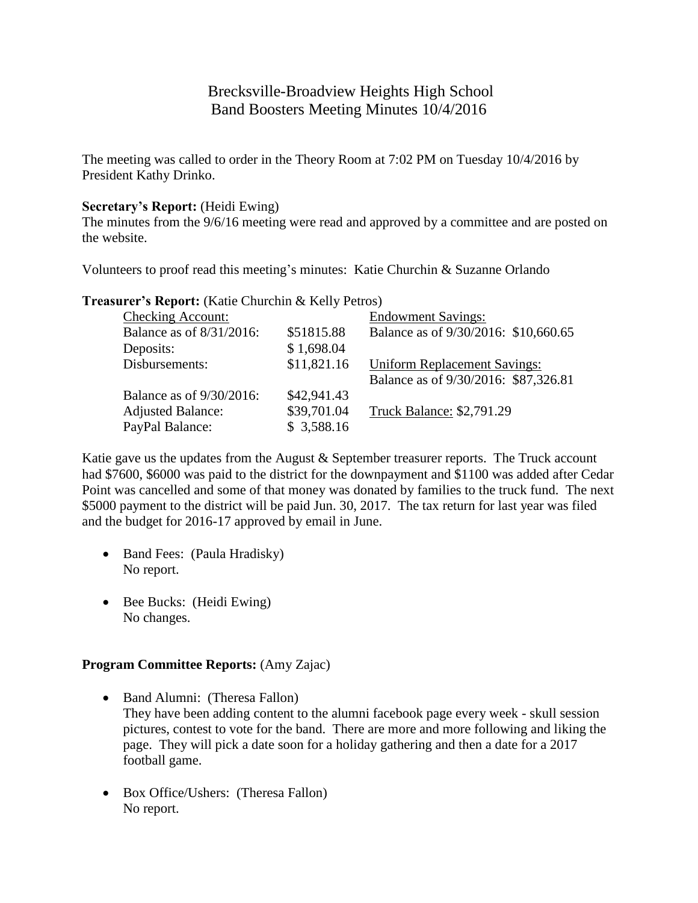# Brecksville-Broadview Heights High School Band Boosters Meeting Minutes 10/4/2016

The meeting was called to order in the Theory Room at 7:02 PM on Tuesday 10/4/2016 by President Kathy Drinko.

### **Secretary's Report:** (Heidi Ewing)

The minutes from the 9/6/16 meeting were read and approved by a committee and are posted on the website.

Volunteers to proof read this meeting's minutes: Katie Churchin & Suzanne Orlando

**Treasurer's Report:** (Katie Churchin & Kelly Petros)

| <b>Checking Account:</b> |             | <b>Endowment Savings:</b>            |
|--------------------------|-------------|--------------------------------------|
| Balance as of 8/31/2016: | \$51815.88  | Balance as of 9/30/2016: \$10,660.65 |
| Deposits:                | \$1,698.04  |                                      |
| Disbursements:           | \$11,821.16 | <b>Uniform Replacement Savings:</b>  |
|                          |             | Balance as of 9/30/2016: \$87,326.81 |
| Balance as of 9/30/2016: | \$42,941.43 |                                      |
| <b>Adjusted Balance:</b> | \$39,701.04 | Truck Balance: \$2,791.29            |
| PayPal Balance:          | \$3,588.16  |                                      |

Katie gave us the updates from the August & September treasurer reports. The Truck account had \$7600, \$6000 was paid to the district for the downpayment and \$1100 was added after Cedar Point was cancelled and some of that money was donated by families to the truck fund. The next \$5000 payment to the district will be paid Jun. 30, 2017. The tax return for last year was filed and the budget for 2016-17 approved by email in June.

- Band Fees: (Paula Hradisky) No report.
- Bee Bucks: (Heidi Ewing) No changes.

## **Program Committee Reports:** (Amy Zajac)

- Band Alumni: (Theresa Fallon) They have been adding content to the alumni facebook page every week - skull session pictures, contest to vote for the band. There are more and more following and liking the page. They will pick a date soon for a holiday gathering and then a date for a 2017 football game.
- Box Office/Ushers: (Theresa Fallon) No report.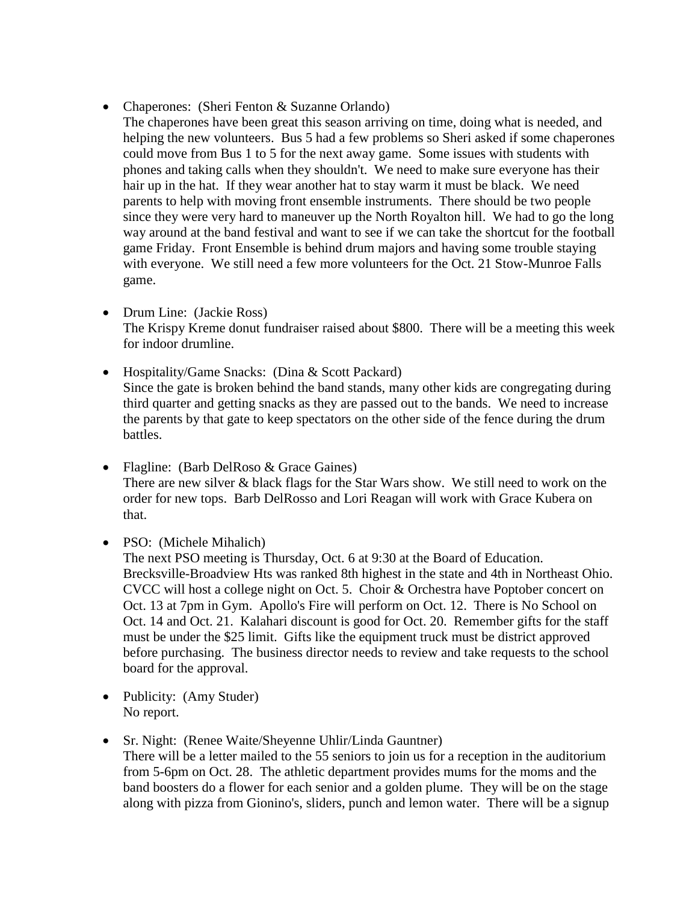- Chaperones: (Sheri Fenton & Suzanne Orlando)
	- The chaperones have been great this season arriving on time, doing what is needed, and helping the new volunteers. Bus 5 had a few problems so Sheri asked if some chaperones could move from Bus 1 to 5 for the next away game. Some issues with students with phones and taking calls when they shouldn't. We need to make sure everyone has their hair up in the hat. If they wear another hat to stay warm it must be black. We need parents to help with moving front ensemble instruments. There should be two people since they were very hard to maneuver up the North Royalton hill. We had to go the long way around at the band festival and want to see if we can take the shortcut for the football game Friday. Front Ensemble is behind drum majors and having some trouble staying with everyone. We still need a few more volunteers for the Oct. 21 Stow-Munroe Falls game.
- Drum Line: (Jackie Ross) The Krispy Kreme donut fundraiser raised about \$800. There will be a meeting this week for indoor drumline.
- Hospitality/Game Snacks: (Dina & Scott Packard) Since the gate is broken behind the band stands, many other kids are congregating during third quarter and getting snacks as they are passed out to the bands. We need to increase the parents by that gate to keep spectators on the other side of the fence during the drum battles.
- Flagline: (Barb DelRoso & Grace Gaines) There are new silver & black flags for the Star Wars show. We still need to work on the order for new tops. Barb DelRosso and Lori Reagan will work with Grace Kubera on that.
- PSO: (Michele Mihalich)

The next PSO meeting is Thursday, Oct. 6 at 9:30 at the Board of Education. Brecksville-Broadview Hts was ranked 8th highest in the state and 4th in Northeast Ohio. CVCC will host a college night on Oct. 5. Choir & Orchestra have Poptober concert on Oct. 13 at 7pm in Gym. Apollo's Fire will perform on Oct. 12. There is No School on Oct. 14 and Oct. 21. Kalahari discount is good for Oct. 20. Remember gifts for the staff must be under the \$25 limit. Gifts like the equipment truck must be district approved before purchasing. The business director needs to review and take requests to the school board for the approval.

- Publicity: (Amy Studer) No report.
- Sr. Night: (Renee Waite/Sheyenne Uhlir/Linda Gauntner) There will be a letter mailed to the 55 seniors to join us for a reception in the auditorium from 5-6pm on Oct. 28. The athletic department provides mums for the moms and the band boosters do a flower for each senior and a golden plume. They will be on the stage along with pizza from Gionino's, sliders, punch and lemon water. There will be a signup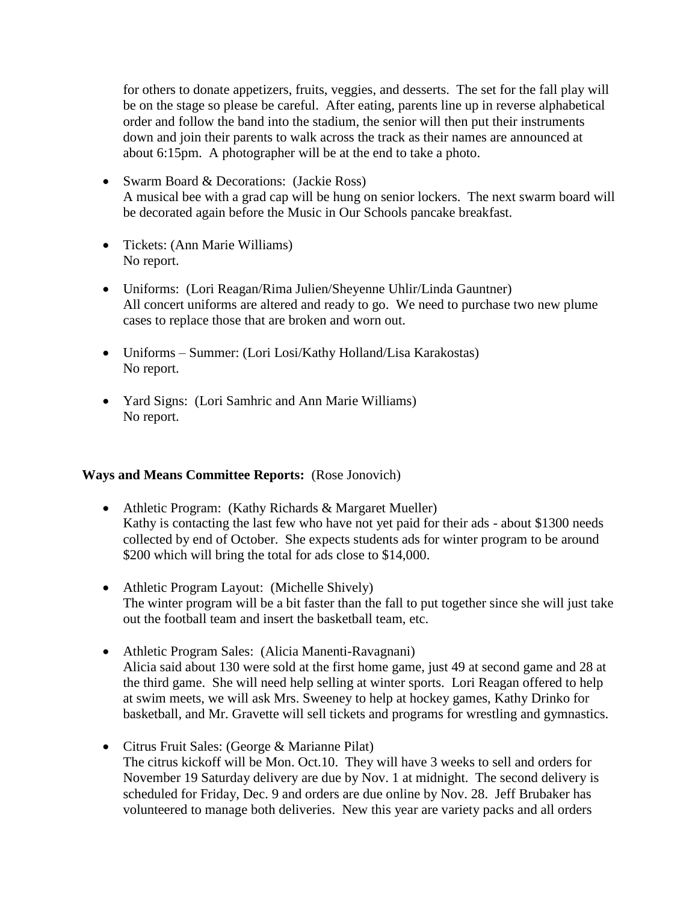for others to donate appetizers, fruits, veggies, and desserts. The set for the fall play will be on the stage so please be careful. After eating, parents line up in reverse alphabetical order and follow the band into the stadium, the senior will then put their instruments down and join their parents to walk across the track as their names are announced at about 6:15pm. A photographer will be at the end to take a photo.

- Swarm Board & Decorations: (Jackie Ross) A musical bee with a grad cap will be hung on senior lockers. The next swarm board will be decorated again before the Music in Our Schools pancake breakfast.
- Tickets: (Ann Marie Williams) No report.
- Uniforms: (Lori Reagan/Rima Julien/Sheyenne Uhlir/Linda Gauntner) All concert uniforms are altered and ready to go. We need to purchase two new plume cases to replace those that are broken and worn out.
- Uniforms Summer: (Lori Losi/Kathy Holland/Lisa Karakostas) No report.
- Yard Signs: (Lori Samhric and Ann Marie Williams) No report.

## **Ways and Means Committee Reports:** (Rose Jonovich)

- Athletic Program: (Kathy Richards & Margaret Mueller) Kathy is contacting the last few who have not yet paid for their ads - about \$1300 needs collected by end of October. She expects students ads for winter program to be around \$200 which will bring the total for ads close to \$14,000.
- Athletic Program Layout: (Michelle Shively) The winter program will be a bit faster than the fall to put together since she will just take out the football team and insert the basketball team, etc.
- Athletic Program Sales: (Alicia Manenti-Ravagnani) Alicia said about 130 were sold at the first home game, just 49 at second game and 28 at the third game. She will need help selling at winter sports. Lori Reagan offered to help at swim meets, we will ask Mrs. Sweeney to help at hockey games, Kathy Drinko for basketball, and Mr. Gravette will sell tickets and programs for wrestling and gymnastics.
- Citrus Fruit Sales: (George & Marianne Pilat) The citrus kickoff will be Mon. Oct.10. They will have 3 weeks to sell and orders for November 19 Saturday delivery are due by Nov. 1 at midnight. The second delivery is scheduled for Friday, Dec. 9 and orders are due online by Nov. 28. Jeff Brubaker has volunteered to manage both deliveries. New this year are variety packs and all orders